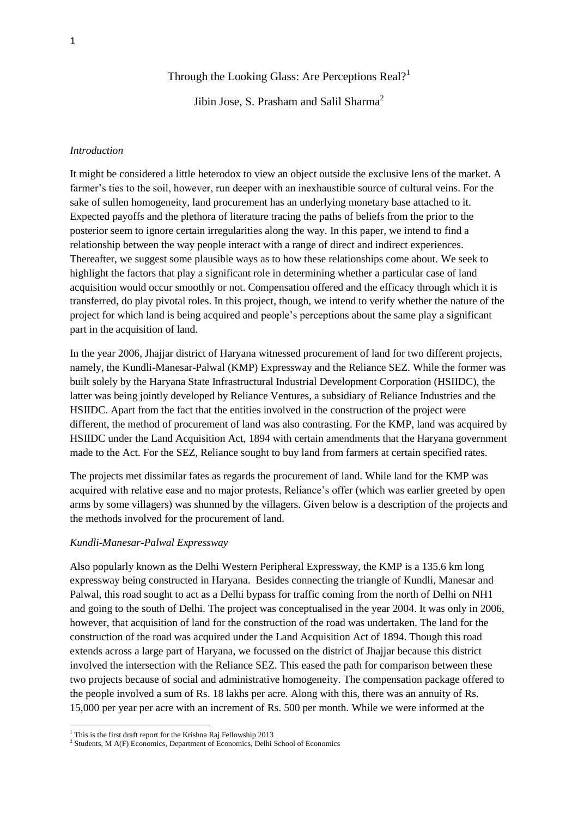Through the Looking Glass: Are Perceptions Real?<sup>1</sup>

Jibin Jose, S. Prasham and Salil Sharma<sup>2</sup>

#### *Introduction*

It might be considered a little heterodox to view an object outside the exclusive lens of the market. A farmer's ties to the soil, however, run deeper with an inexhaustible source of cultural veins. For the sake of sullen homogeneity, land procurement has an underlying monetary base attached to it. Expected payoffs and the plethora of literature tracing the paths of beliefs from the prior to the posterior seem to ignore certain irregularities along the way. In this paper, we intend to find a relationship between the way people interact with a range of direct and indirect experiences. Thereafter, we suggest some plausible ways as to how these relationships come about. We seek to highlight the factors that play a significant role in determining whether a particular case of land acquisition would occur smoothly or not. Compensation offered and the efficacy through which it is transferred, do play pivotal roles. In this project, though, we intend to verify whether the nature of the project for which land is being acquired and people"s perceptions about the same play a significant part in the acquisition of land.

In the year 2006, Jhajjar district of Haryana witnessed procurement of land for two different projects, namely, the Kundli-Manesar-Palwal (KMP) Expressway and the Reliance SEZ. While the former was built solely by the Haryana State Infrastructural Industrial Development Corporation (HSIIDC), the latter was being jointly developed by Reliance Ventures, a subsidiary of Reliance Industries and the HSIIDC. Apart from the fact that the entities involved in the construction of the project were different, the method of procurement of land was also contrasting. For the KMP, land was acquired by HSIIDC under the Land Acquisition Act, 1894 with certain amendments that the Haryana government made to the Act. For the SEZ, Reliance sought to buy land from farmers at certain specified rates.

The projects met dissimilar fates as regards the procurement of land. While land for the KMP was acquired with relative ease and no major protests, Reliance"s offer (which was earlier greeted by open arms by some villagers) was shunned by the villagers. Given below is a description of the projects and the methods involved for the procurement of land.

### *Kundli-Manesar-Palwal Expressway*

Also popularly known as the Delhi Western Peripheral Expressway, the KMP is a 135.6 km long expressway being constructed in Haryana. Besides connecting the triangle of Kundli, Manesar and Palwal, this road sought to act as a Delhi bypass for traffic coming from the north of Delhi on NH1 and going to the south of Delhi. The project was conceptualised in the year 2004. It was only in 2006, however, that acquisition of land for the construction of the road was undertaken. The land for the construction of the road was acquired under the Land Acquisition Act of 1894. Though this road extends across a large part of Haryana, we focussed on the district of Jhajjar because this district involved the intersection with the Reliance SEZ. This eased the path for comparison between these two projects because of social and administrative homogeneity. The compensation package offered to the people involved a sum of Rs. 18 lakhs per acre. Along with this, there was an annuity of Rs. 15,000 per year per acre with an increment of Rs. 500 per month. While we were informed at the

 $\overline{\phantom{a}}$ 

<sup>&</sup>lt;sup>1</sup> This is the first draft report for the Krishna Raj Fellowship 2013

<sup>&</sup>lt;sup>2</sup> Students, M A(F) Economics, Department of Economics, Delhi School of Economics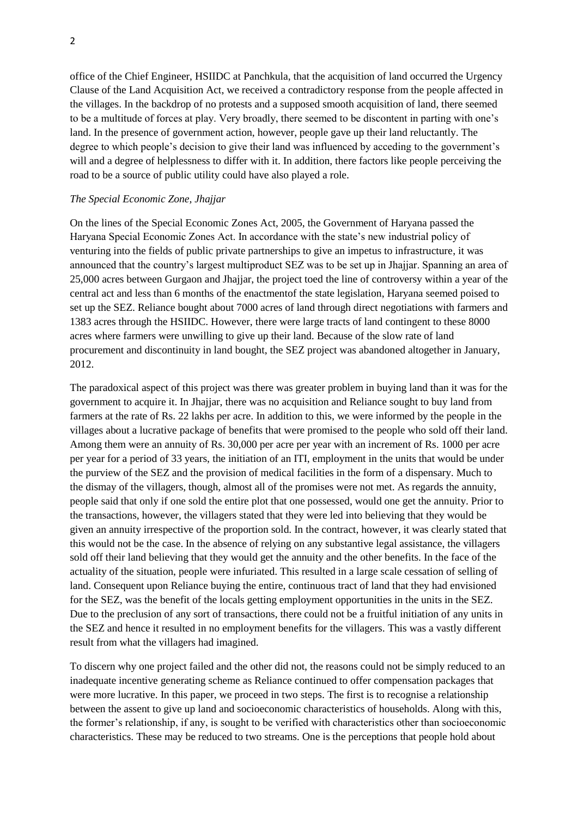office of the Chief Engineer, HSIIDC at Panchkula, that the acquisition of land occurred the Urgency Clause of the Land Acquisition Act, we received a contradictory response from the people affected in the villages. In the backdrop of no protests and a supposed smooth acquisition of land, there seemed to be a multitude of forces at play. Very broadly, there seemed to be discontent in parting with one"s land. In the presence of government action, however, people gave up their land reluctantly. The degree to which people"s decision to give their land was influenced by acceding to the government"s will and a degree of helplessness to differ with it. In addition, there factors like people perceiving the road to be a source of public utility could have also played a role.

# *The Special Economic Zone, Jhajjar*

On the lines of the Special Economic Zones Act, 2005, the Government of Haryana passed the Haryana Special Economic Zones Act. In accordance with the state"s new industrial policy of venturing into the fields of public private partnerships to give an impetus to infrastructure, it was announced that the country"s largest multiproduct SEZ was to be set up in Jhajjar. Spanning an area of 25,000 acres between Gurgaon and Jhajjar, the project toed the line of controversy within a year of the central act and less than 6 months of the enactmentof the state legislation, Haryana seemed poised to set up the SEZ. Reliance bought about 7000 acres of land through direct negotiations with farmers and 1383 acres through the HSIIDC. However, there were large tracts of land contingent to these 8000 acres where farmers were unwilling to give up their land. Because of the slow rate of land procurement and discontinuity in land bought, the SEZ project was abandoned altogether in January, 2012.

The paradoxical aspect of this project was there was greater problem in buying land than it was for the government to acquire it. In Jhajjar, there was no acquisition and Reliance sought to buy land from farmers at the rate of Rs. 22 lakhs per acre. In addition to this, we were informed by the people in the villages about a lucrative package of benefits that were promised to the people who sold off their land. Among them were an annuity of Rs. 30,000 per acre per year with an increment of Rs. 1000 per acre per year for a period of 33 years, the initiation of an ITI, employment in the units that would be under the purview of the SEZ and the provision of medical facilities in the form of a dispensary. Much to the dismay of the villagers, though, almost all of the promises were not met. As regards the annuity, people said that only if one sold the entire plot that one possessed, would one get the annuity. Prior to the transactions, however, the villagers stated that they were led into believing that they would be given an annuity irrespective of the proportion sold. In the contract, however, it was clearly stated that this would not be the case. In the absence of relying on any substantive legal assistance, the villagers sold off their land believing that they would get the annuity and the other benefits. In the face of the actuality of the situation, people were infuriated. This resulted in a large scale cessation of selling of land. Consequent upon Reliance buying the entire, continuous tract of land that they had envisioned for the SEZ, was the benefit of the locals getting employment opportunities in the units in the SEZ. Due to the preclusion of any sort of transactions, there could not be a fruitful initiation of any units in the SEZ and hence it resulted in no employment benefits for the villagers. This was a vastly different result from what the villagers had imagined.

To discern why one project failed and the other did not, the reasons could not be simply reduced to an inadequate incentive generating scheme as Reliance continued to offer compensation packages that were more lucrative. In this paper, we proceed in two steps. The first is to recognise a relationship between the assent to give up land and socioeconomic characteristics of households. Along with this, the former"s relationship, if any, is sought to be verified with characteristics other than socioeconomic characteristics. These may be reduced to two streams. One is the perceptions that people hold about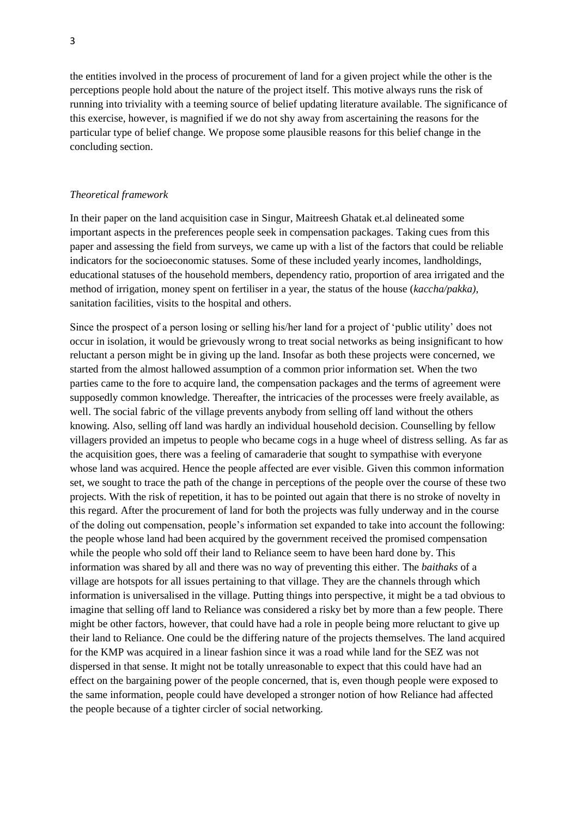the entities involved in the process of procurement of land for a given project while the other is the perceptions people hold about the nature of the project itself. This motive always runs the risk of running into triviality with a teeming source of belief updating literature available. The significance of this exercise, however, is magnified if we do not shy away from ascertaining the reasons for the particular type of belief change. We propose some plausible reasons for this belief change in the concluding section.

#### *Theoretical framework*

In their paper on the land acquisition case in Singur, Maitreesh Ghatak et.al delineated some important aspects in the preferences people seek in compensation packages. Taking cues from this paper and assessing the field from surveys, we came up with a list of the factors that could be reliable indicators for the socioeconomic statuses. Some of these included yearly incomes, landholdings, educational statuses of the household members, dependency ratio, proportion of area irrigated and the method of irrigation, money spent on fertiliser in a year, the status of the house (*kaccha/pakka)*, sanitation facilities, visits to the hospital and others.

Since the prospect of a person losing or selling his/her land for a project of "public utility" does not occur in isolation, it would be grievously wrong to treat social networks as being insignificant to how reluctant a person might be in giving up the land. Insofar as both these projects were concerned, we started from the almost hallowed assumption of a common prior information set. When the two parties came to the fore to acquire land, the compensation packages and the terms of agreement were supposedly common knowledge. Thereafter, the intricacies of the processes were freely available, as well. The social fabric of the village prevents anybody from selling off land without the others knowing. Also, selling off land was hardly an individual household decision. Counselling by fellow villagers provided an impetus to people who became cogs in a huge wheel of distress selling. As far as the acquisition goes, there was a feeling of camaraderie that sought to sympathise with everyone whose land was acquired. Hence the people affected are ever visible. Given this common information set, we sought to trace the path of the change in perceptions of the people over the course of these two projects. With the risk of repetition, it has to be pointed out again that there is no stroke of novelty in this regard. After the procurement of land for both the projects was fully underway and in the course of the doling out compensation, people"s information set expanded to take into account the following: the people whose land had been acquired by the government received the promised compensation while the people who sold off their land to Reliance seem to have been hard done by. This information was shared by all and there was no way of preventing this either. The *baithaks* of a village are hotspots for all issues pertaining to that village. They are the channels through which information is universalised in the village. Putting things into perspective, it might be a tad obvious to imagine that selling off land to Reliance was considered a risky bet by more than a few people. There might be other factors, however, that could have had a role in people being more reluctant to give up their land to Reliance. One could be the differing nature of the projects themselves. The land acquired for the KMP was acquired in a linear fashion since it was a road while land for the SEZ was not dispersed in that sense. It might not be totally unreasonable to expect that this could have had an effect on the bargaining power of the people concerned, that is, even though people were exposed to the same information, people could have developed a stronger notion of how Reliance had affected the people because of a tighter circler of social networking.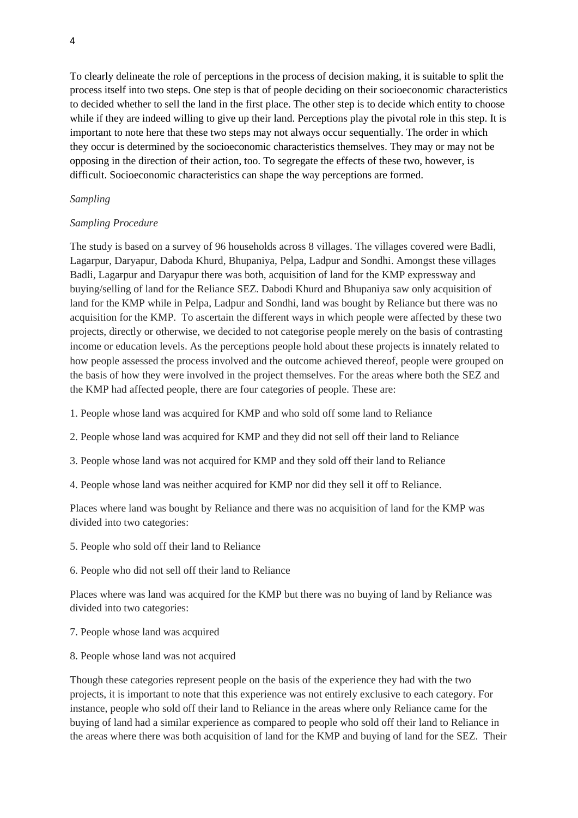To clearly delineate the role of perceptions in the process of decision making, it is suitable to split the process itself into two steps. One step is that of people deciding on their socioeconomic characteristics to decided whether to sell the land in the first place. The other step is to decide which entity to choose while if they are indeed willing to give up their land. Perceptions play the pivotal role in this step. It is important to note here that these two steps may not always occur sequentially. The order in which they occur is determined by the socioeconomic characteristics themselves. They may or may not be opposing in the direction of their action, too. To segregate the effects of these two, however, is difficult. Socioeconomic characteristics can shape the way perceptions are formed.

# *Sampling*

# *Sampling Procedure*

The study is based on a survey of 96 households across 8 villages. The villages covered were Badli, Lagarpur, Daryapur, Daboda Khurd, Bhupaniya, Pelpa, Ladpur and Sondhi. Amongst these villages Badli, Lagarpur and Daryapur there was both, acquisition of land for the KMP expressway and buying/selling of land for the Reliance SEZ. Dabodi Khurd and Bhupaniya saw only acquisition of land for the KMP while in Pelpa, Ladpur and Sondhi, land was bought by Reliance but there was no acquisition for the KMP. To ascertain the different ways in which people were affected by these two projects, directly or otherwise, we decided to not categorise people merely on the basis of contrasting income or education levels. As the perceptions people hold about these projects is innately related to how people assessed the process involved and the outcome achieved thereof, people were grouped on the basis of how they were involved in the project themselves. For the areas where both the SEZ and the KMP had affected people, there are four categories of people. These are:

- 1. People whose land was acquired for KMP and who sold off some land to Reliance
- 2. People whose land was acquired for KMP and they did not sell off their land to Reliance
- 3. People whose land was not acquired for KMP and they sold off their land to Reliance
- 4. People whose land was neither acquired for KMP nor did they sell it off to Reliance.

Places where land was bought by Reliance and there was no acquisition of land for the KMP was divided into two categories:

- 5. People who sold off their land to Reliance
- 6. People who did not sell off their land to Reliance

Places where was land was acquired for the KMP but there was no buying of land by Reliance was divided into two categories:

- 7. People whose land was acquired
- 8. People whose land was not acquired

Though these categories represent people on the basis of the experience they had with the two projects, it is important to note that this experience was not entirely exclusive to each category. For instance, people who sold off their land to Reliance in the areas where only Reliance came for the buying of land had a similar experience as compared to people who sold off their land to Reliance in the areas where there was both acquisition of land for the KMP and buying of land for the SEZ. Their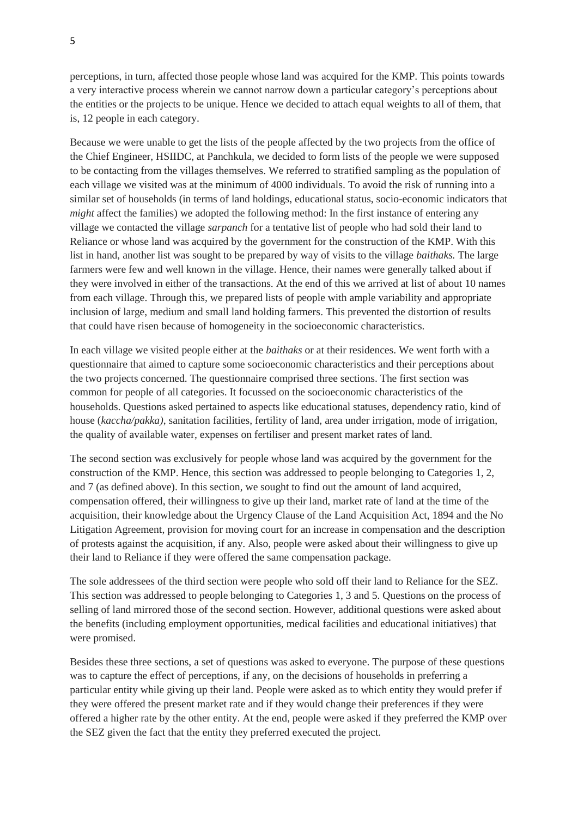perceptions, in turn, affected those people whose land was acquired for the KMP. This points towards a very interactive process wherein we cannot narrow down a particular category"s perceptions about the entities or the projects to be unique. Hence we decided to attach equal weights to all of them, that is, 12 people in each category.

Because we were unable to get the lists of the people affected by the two projects from the office of the Chief Engineer, HSIIDC, at Panchkula, we decided to form lists of the people we were supposed to be contacting from the villages themselves. We referred to stratified sampling as the population of each village we visited was at the minimum of 4000 individuals. To avoid the risk of running into a similar set of households (in terms of land holdings, educational status, socio-economic indicators that *might* affect the families) we adopted the following method: In the first instance of entering any village we contacted the village *sarpanch* for a tentative list of people who had sold their land to Reliance or whose land was acquired by the government for the construction of the KMP. With this list in hand, another list was sought to be prepared by way of visits to the village *baithaks.* The large farmers were few and well known in the village. Hence, their names were generally talked about if they were involved in either of the transactions. At the end of this we arrived at list of about 10 names from each village. Through this, we prepared lists of people with ample variability and appropriate inclusion of large, medium and small land holding farmers. This prevented the distortion of results that could have risen because of homogeneity in the socioeconomic characteristics.

In each village we visited people either at the *baithaks* or at their residences. We went forth with a questionnaire that aimed to capture some socioeconomic characteristics and their perceptions about the two projects concerned. The questionnaire comprised three sections. The first section was common for people of all categories. It focussed on the socioeconomic characteristics of the households. Questions asked pertained to aspects like educational statuses, dependency ratio, kind of house (*kaccha/pakka*), sanitation facilities, fertility of land, area under irrigation, mode of irrigation, the quality of available water, expenses on fertiliser and present market rates of land.

The second section was exclusively for people whose land was acquired by the government for the construction of the KMP. Hence, this section was addressed to people belonging to Categories 1, 2, and 7 (as defined above). In this section, we sought to find out the amount of land acquired, compensation offered, their willingness to give up their land, market rate of land at the time of the acquisition, their knowledge about the Urgency Clause of the Land Acquisition Act, 1894 and the No Litigation Agreement, provision for moving court for an increase in compensation and the description of protests against the acquisition, if any. Also, people were asked about their willingness to give up their land to Reliance if they were offered the same compensation package.

The sole addressees of the third section were people who sold off their land to Reliance for the SEZ. This section was addressed to people belonging to Categories 1, 3 and 5. Questions on the process of selling of land mirrored those of the second section. However, additional questions were asked about the benefits (including employment opportunities, medical facilities and educational initiatives) that were promised.

Besides these three sections, a set of questions was asked to everyone. The purpose of these questions was to capture the effect of perceptions, if any, on the decisions of households in preferring a particular entity while giving up their land. People were asked as to which entity they would prefer if they were offered the present market rate and if they would change their preferences if they were offered a higher rate by the other entity. At the end, people were asked if they preferred the KMP over the SEZ given the fact that the entity they preferred executed the project.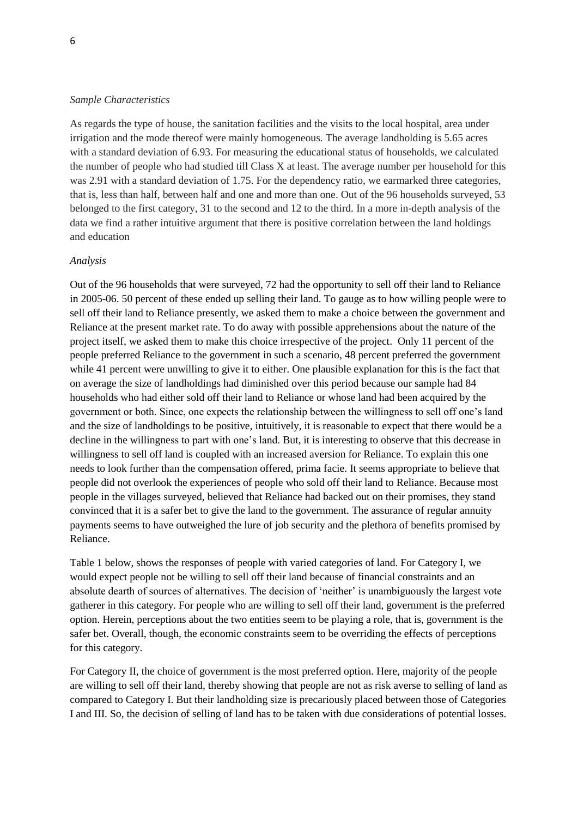#### *Sample Characteristics*

As regards the type of house, the sanitation facilities and the visits to the local hospital, area under irrigation and the mode thereof were mainly homogeneous. The average landholding is 5.65 acres with a standard deviation of 6.93. For measuring the educational status of households, we calculated the number of people who had studied till Class X at least. The average number per household for this was 2.91 with a standard deviation of 1.75. For the dependency ratio, we earmarked three categories, that is, less than half, between half and one and more than one. Out of the 96 households surveyed, 53 belonged to the first category, 31 to the second and 12 to the third. In a more in-depth analysis of the data we find a rather intuitive argument that there is positive correlation between the land holdings and education

### *Analysis*

Out of the 96 households that were surveyed, 72 had the opportunity to sell off their land to Reliance in 2005-06. 50 percent of these ended up selling their land. To gauge as to how willing people were to sell off their land to Reliance presently, we asked them to make a choice between the government and Reliance at the present market rate. To do away with possible apprehensions about the nature of the project itself, we asked them to make this choice irrespective of the project. Only 11 percent of the people preferred Reliance to the government in such a scenario, 48 percent preferred the government while 41 percent were unwilling to give it to either. One plausible explanation for this is the fact that on average the size of landholdings had diminished over this period because our sample had 84 households who had either sold off their land to Reliance or whose land had been acquired by the government or both. Since, one expects the relationship between the willingness to sell off one"s land and the size of landholdings to be positive, intuitively, it is reasonable to expect that there would be a decline in the willingness to part with one's land. But, it is interesting to observe that this decrease in willingness to sell off land is coupled with an increased aversion for Reliance. To explain this one needs to look further than the compensation offered, prima facie. It seems appropriate to believe that people did not overlook the experiences of people who sold off their land to Reliance. Because most people in the villages surveyed, believed that Reliance had backed out on their promises, they stand convinced that it is a safer bet to give the land to the government. The assurance of regular annuity payments seems to have outweighed the lure of job security and the plethora of benefits promised by Reliance.

Table 1 below, shows the responses of people with varied categories of land. For Category I, we would expect people not be willing to sell off their land because of financial constraints and an absolute dearth of sources of alternatives. The decision of "neither" is unambiguously the largest vote gatherer in this category. For people who are willing to sell off their land, government is the preferred option. Herein, perceptions about the two entities seem to be playing a role, that is, government is the safer bet. Overall, though, the economic constraints seem to be overriding the effects of perceptions for this category.

For Category II, the choice of government is the most preferred option. Here, majority of the people are willing to sell off their land, thereby showing that people are not as risk averse to selling of land as compared to Category I. But their landholding size is precariously placed between those of Categories I and III. So, the decision of selling of land has to be taken with due considerations of potential losses.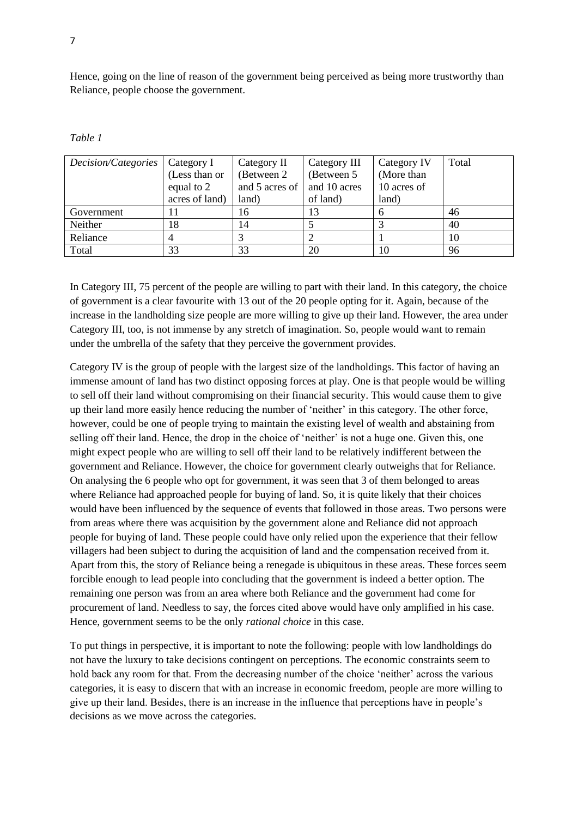Hence, going on the line of reason of the government being perceived as being more trustworthy than Reliance, people choose the government.

| Decision/Categories | Category I     | Category II    | Category III              | Category IV | Total |
|---------------------|----------------|----------------|---------------------------|-------------|-------|
|                     | (Less than or  | (Between 2)    | (Between 5)<br>(More than |             |       |
|                     | equal to 2     | and 5 acres of | and 10 acres              | 10 acres of |       |
|                     | acres of land) | land)          | of land)                  | land)       |       |
| Government          |                | 16             | 13                        | h           | 46    |
| Neither             | 18             | 14             |                           |             | 40    |
| Reliance            |                |                |                           |             | 10    |
| Total               | 33             | 33             | 20                        | 10          | 96    |

*Table 1*

In Category III, 75 percent of the people are willing to part with their land. In this category, the choice of government is a clear favourite with 13 out of the 20 people opting for it. Again, because of the increase in the landholding size people are more willing to give up their land. However, the area under Category III, too, is not immense by any stretch of imagination. So, people would want to remain under the umbrella of the safety that they perceive the government provides.

Category IV is the group of people with the largest size of the landholdings. This factor of having an immense amount of land has two distinct opposing forces at play. One is that people would be willing to sell off their land without compromising on their financial security. This would cause them to give up their land more easily hence reducing the number of "neither" in this category. The other force, however, could be one of people trying to maintain the existing level of wealth and abstaining from selling off their land. Hence, the drop in the choice of 'neither' is not a huge one. Given this, one might expect people who are willing to sell off their land to be relatively indifferent between the government and Reliance. However, the choice for government clearly outweighs that for Reliance. On analysing the 6 people who opt for government, it was seen that 3 of them belonged to areas where Reliance had approached people for buying of land. So, it is quite likely that their choices would have been influenced by the sequence of events that followed in those areas. Two persons were from areas where there was acquisition by the government alone and Reliance did not approach people for buying of land. These people could have only relied upon the experience that their fellow villagers had been subject to during the acquisition of land and the compensation received from it. Apart from this, the story of Reliance being a renegade is ubiquitous in these areas. These forces seem forcible enough to lead people into concluding that the government is indeed a better option. The remaining one person was from an area where both Reliance and the government had come for procurement of land. Needless to say, the forces cited above would have only amplified in his case. Hence, government seems to be the only *rational choice* in this case.

To put things in perspective, it is important to note the following: people with low landholdings do not have the luxury to take decisions contingent on perceptions. The economic constraints seem to hold back any room for that. From the decreasing number of the choice 'neither' across the various categories, it is easy to discern that with an increase in economic freedom, people are more willing to give up their land. Besides, there is an increase in the influence that perceptions have in people"s decisions as we move across the categories.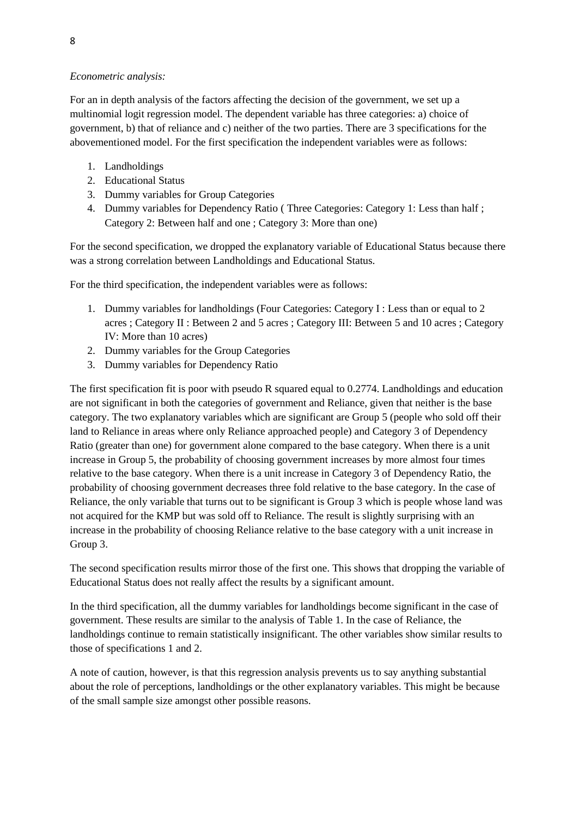# *Econometric analysis:*

For an in depth analysis of the factors affecting the decision of the government, we set up a multinomial logit regression model. The dependent variable has three categories: a) choice of government, b) that of reliance and c) neither of the two parties. There are 3 specifications for the abovementioned model. For the first specification the independent variables were as follows:

- 1. Landholdings
- 2. Educational Status
- 3. Dummy variables for Group Categories
- 4. Dummy variables for Dependency Ratio ( Three Categories: Category 1: Less than half ; Category 2: Between half and one ; Category 3: More than one)

For the second specification, we dropped the explanatory variable of Educational Status because there was a strong correlation between Landholdings and Educational Status.

For the third specification, the independent variables were as follows:

- 1. Dummy variables for landholdings (Four Categories: Category I : Less than or equal to 2 acres ; Category II : Between 2 and 5 acres ; Category III: Between 5 and 10 acres ; Category IV: More than 10 acres)
- 2. Dummy variables for the Group Categories
- 3. Dummy variables for Dependency Ratio

The first specification fit is poor with pseudo R squared equal to 0.2774. Landholdings and education are not significant in both the categories of government and Reliance, given that neither is the base category. The two explanatory variables which are significant are Group 5 (people who sold off their land to Reliance in areas where only Reliance approached people) and Category 3 of Dependency Ratio (greater than one) for government alone compared to the base category. When there is a unit increase in Group 5, the probability of choosing government increases by more almost four times relative to the base category. When there is a unit increase in Category 3 of Dependency Ratio, the probability of choosing government decreases three fold relative to the base category. In the case of Reliance, the only variable that turns out to be significant is Group 3 which is people whose land was not acquired for the KMP but was sold off to Reliance. The result is slightly surprising with an increase in the probability of choosing Reliance relative to the base category with a unit increase in Group 3.

The second specification results mirror those of the first one. This shows that dropping the variable of Educational Status does not really affect the results by a significant amount.

In the third specification, all the dummy variables for landholdings become significant in the case of government. These results are similar to the analysis of Table 1. In the case of Reliance, the landholdings continue to remain statistically insignificant. The other variables show similar results to those of specifications 1 and 2.

A note of caution, however, is that this regression analysis prevents us to say anything substantial about the role of perceptions, landholdings or the other explanatory variables. This might be because of the small sample size amongst other possible reasons.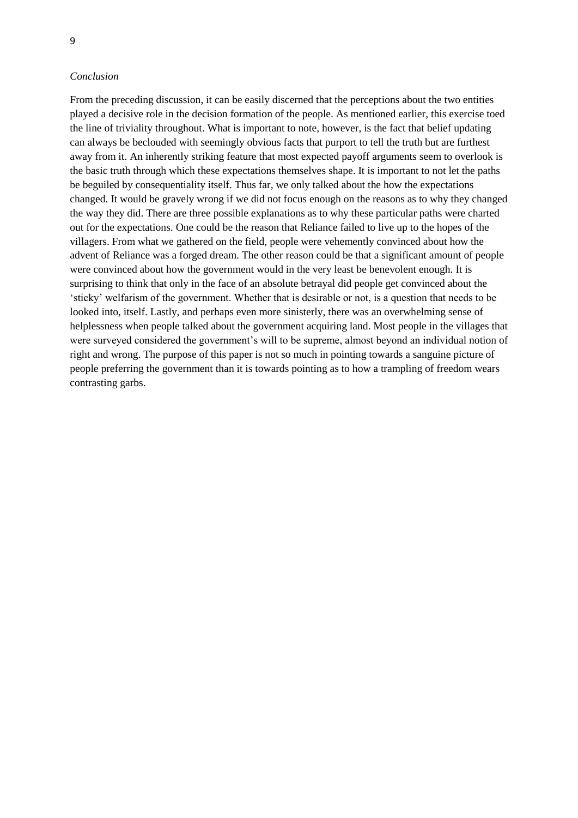#### *Conclusion*

From the preceding discussion, it can be easily discerned that the perceptions about the two entities played a decisive role in the decision formation of the people. As mentioned earlier, this exercise toed the line of triviality throughout. What is important to note, however, is the fact that belief updating can always be beclouded with seemingly obvious facts that purport to tell the truth but are furthest away from it. An inherently striking feature that most expected payoff arguments seem to overlook is the basic truth through which these expectations themselves shape. It is important to not let the paths be beguiled by consequentiality itself. Thus far, we only talked about the how the expectations changed. It would be gravely wrong if we did not focus enough on the reasons as to why they changed the way they did. There are three possible explanations as to why these particular paths were charted out for the expectations. One could be the reason that Reliance failed to live up to the hopes of the villagers. From what we gathered on the field, people were vehemently convinced about how the advent of Reliance was a forged dream. The other reason could be that a significant amount of people were convinced about how the government would in the very least be benevolent enough. It is surprising to think that only in the face of an absolute betrayal did people get convinced about the "sticky" welfarism of the government. Whether that is desirable or not, is a question that needs to be looked into, itself. Lastly, and perhaps even more sinisterly, there was an overwhelming sense of helplessness when people talked about the government acquiring land. Most people in the villages that were surveyed considered the government's will to be supreme, almost beyond an individual notion of right and wrong. The purpose of this paper is not so much in pointing towards a sanguine picture of people preferring the government than it is towards pointing as to how a trampling of freedom wears contrasting garbs.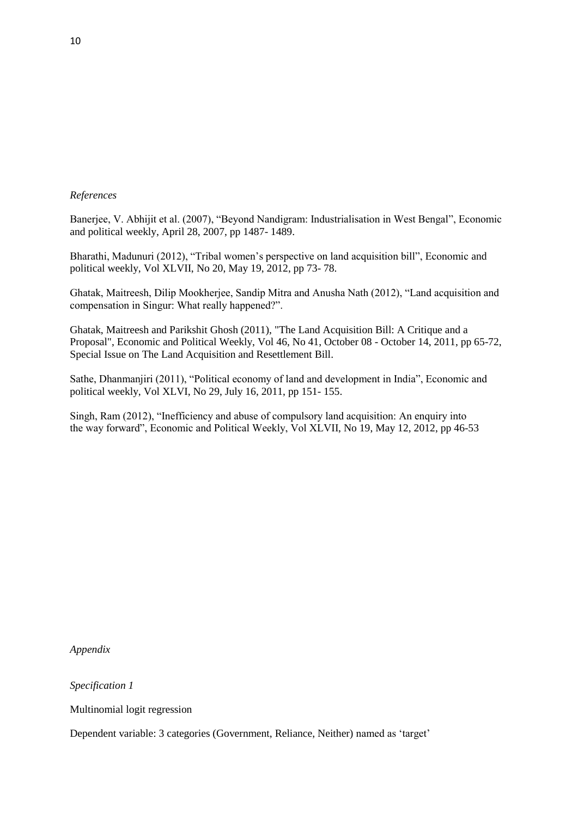# *References*

Banerjee, V. Abhijit et al. (2007), "Beyond Nandigram: Industrialisation in West Bengal", Economic and political weekly, April 28, 2007, pp 1487- 1489.

Bharathi, Madunuri (2012), "Tribal women"s perspective on land acquisition bill", Economic and political weekly, Vol XLVII, No 20, May 19, 2012, pp 73- 78.

Ghatak, Maitreesh, Dilip Mookherjee, Sandip Mitra and Anusha Nath (2012), "Land acquisition and compensation in Singur: What really happened?".

Ghatak, Maitreesh and Parikshit Ghosh (2011), "The Land Acquisition Bill: A Critique and a Proposal", Economic and Political Weekly, Vol 46, No 41, October 08 - October 14, 2011, pp 65-72, Special Issue on The Land Acquisition and Resettlement Bill.

Sathe, Dhanmanjiri (2011), "Political economy of land and development in India", Economic and political weekly, Vol XLVI, No 29, July 16, 2011, pp 151- 155.

Singh, Ram (2012), "Inefficiency and abuse of compulsory land acquisition: An enquiry into the way forward", Economic and Political Weekly, Vol XLVII, No 19, May 12, 2012, pp 46-53

*Appendix*

*Specification 1*

Multinomial logit regression

Dependent variable: 3 categories (Government, Reliance, Neither) named as "target"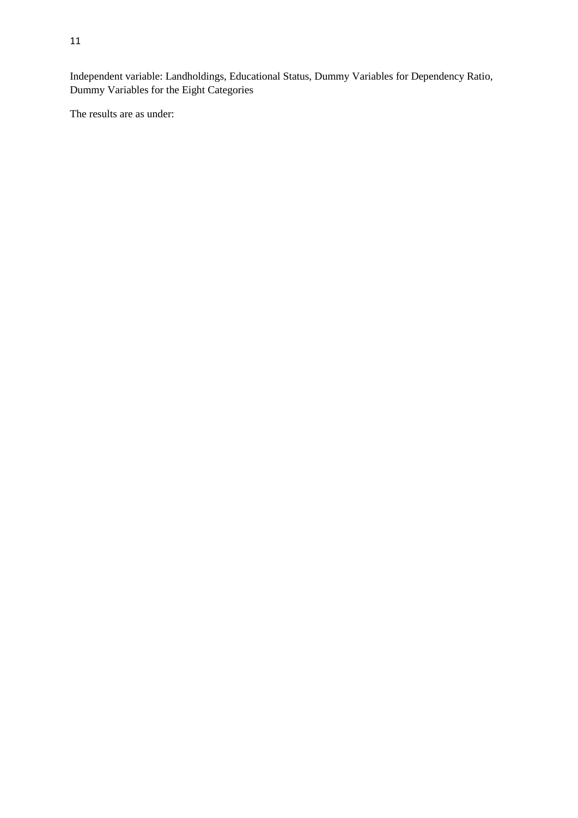Independent variable: Landholdings, Educational Status, Dummy Variables for Dependency Ratio, Dummy Variables for the Eight Categories

The results are as under: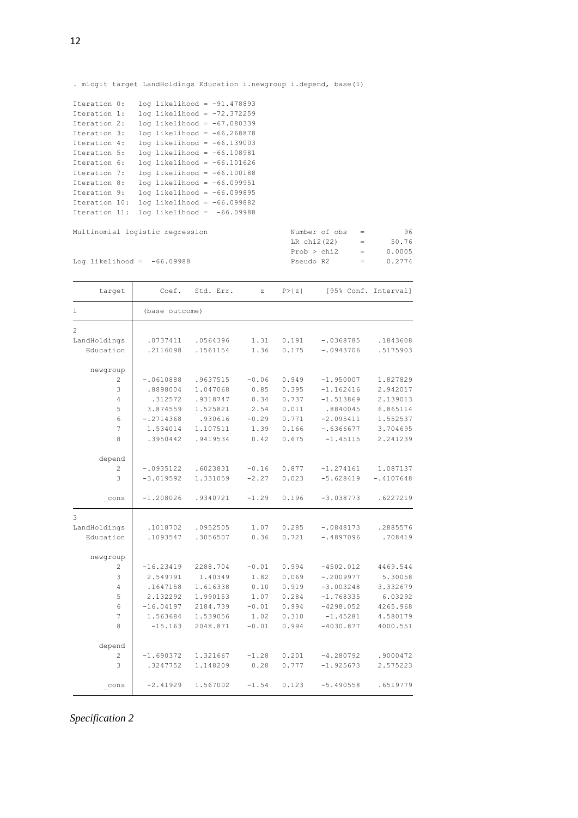. mlogit target LandHoldings Education i.newgroup i.depend, base(1)

| Iteration 0:  |  | $log$ likelihood = -91.478893   |  |
|---------------|--|---------------------------------|--|
| Iteration 1:  |  | $log$ likelihood = $-72.372259$ |  |
| Iteration 2:  |  | $log$ likelihood = -67.080339   |  |
| Iteration 3:  |  | $log$ likelihood = $-66.268878$ |  |
| Iteration 4:  |  | $log$ likelihood = $-66.139003$ |  |
| Iteration 5:  |  | $log$ likelihood = $-66.108981$ |  |
| Iteration 6:  |  | $log$ likelihood = $-66.101626$ |  |
| Iteration 7:  |  | $log$ likelihood = $-66.100188$ |  |
| Iteration 8:  |  | $log$ likelihood = $-66.099951$ |  |
| Iteration 9:  |  | $log$ likelihood = -66.099895   |  |
| Iteration 10: |  | $log$ likelihood = -66.099882   |  |
| Iteration 11: |  | $log$ likelihood = $-66.09988$  |  |
|               |  |                                 |  |

 $Multinomial$  logistic regression

Log likelihood =  $-66.09988$ 

| Number of obs | =   | 96     |
|---------------|-----|--------|
| LR chi2(22)   | $=$ | 50.76  |
| Prob > chi2   | $=$ | 0.0005 |
| Pseudo R2     | $=$ | 0.2774 |

| target                              | Coef.          | Std. Err. | Z       | P >  z |             | [95% Conf. Interval] |
|-------------------------------------|----------------|-----------|---------|--------|-------------|----------------------|
| $\mathbf{1}$                        | (base outcome) |           |         |        |             |                      |
| $\overline{2}$                      |                |           |         |        |             |                      |
| LandHoldings                        | .0737411       | .0564396  | 1.31    | 0.191  | $-.0368785$ | .1843608             |
| Education                           | .2116098       | .1561154  | 1.36    | 0.175  | $-10943706$ | .5175903             |
| newgroup                            |                |           |         |        |             |                      |
| $\overline{c}$                      | $-.0610888$    | .9637515  | $-0.06$ | 0.949  | $-1.950007$ | 1.827829             |
| 3                                   | .8898004       | 1.047068  | 0.85    | 0.395  | $-1.162416$ | 2.942017             |
| 4                                   | .312572        | .9318747  | 0.34    | 0.737  | $-1.513869$ | 2.139013             |
| 5                                   | 3.874559       | 1.525821  | 2.54    | 0.011  | .8840045    | 6.865114             |
| 6                                   | $-.2714368$    | .930616   | $-0.29$ | 0.771  | $-2.095411$ | 1.552537             |
| 7                                   | 1.534014       | 1.107511  | 1.39    | 0.166  | $-.6366677$ | 3.704695             |
| 8                                   | .3950442       | .9419534  | 0.42    | 0.675  | $-1.45115$  | 2.241239             |
| depend                              |                |           |         |        |             |                      |
| 2                                   | $-.0935122$    | .6023831  | $-0.16$ | 0.877  | $-1.274161$ | 1.087137             |
| 3                                   | $-3.019592$    | 1.331059  | $-2.27$ | 0.023  | $-5.628419$ | $-.4107648$          |
| $_{\rm cons}$                       | $-1.208026$    | .9340721  | $-1.29$ | 0.196  | $-3.038773$ | .6227219             |
| 3                                   |                |           |         |        |             |                      |
| LandHoldings                        | .1018702       | .0952505  | 1.07    | 0.285  | $-.0848173$ | .2885576             |
| Education                           | .1093547       | .3056507  | 0.36    | 0.721  | $-.4897096$ | .708419              |
| newgroup                            |                |           |         |        |             |                      |
| 2                                   | $-16.23419$    | 2288.704  | $-0.01$ | 0.994  | $-4502.012$ | 4469.544             |
| 3                                   | 2.549791       | 1.40349   | 1.82    | 0.069  | $-.2009977$ | 5.30058              |
| 4                                   | .1647158       | 1.616338  | 0.10    | 0.919  | $-3.003248$ | 3.332679             |
| 5                                   | 2.132292       | 1.990153  | 1.07    | 0.284  | $-1.768335$ | 6.03292              |
| 6                                   | $-16.04197$    | 2184.739  | $-0.01$ | 0.994  | $-4298.052$ | 4265.968             |
| 7                                   | 1.563684       | 1.539056  | 1.02    | 0.310  | $-1.45281$  | 4.580179             |
| 8                                   | $-15.163$      | 2048.871  | $-0.01$ | 0.994  | $-4030.877$ | 4000.551             |
| depend                              |                |           |         |        |             |                      |
| 2                                   | $-1.690372$    | 1.321667  | $-1.28$ | 0.201  | $-4.280792$ | .9000472             |
| 3                                   | .3247752       | 1.148209  | 0.28    | 0.777  | $-1.925673$ | 2.575223             |
| $\overline{\phantom{0}}^{\rm cons}$ | $-2.41929$     | 1.567002  | $-1.54$ | 0.123  | $-5.490558$ | .6519779             |

*Specification 2*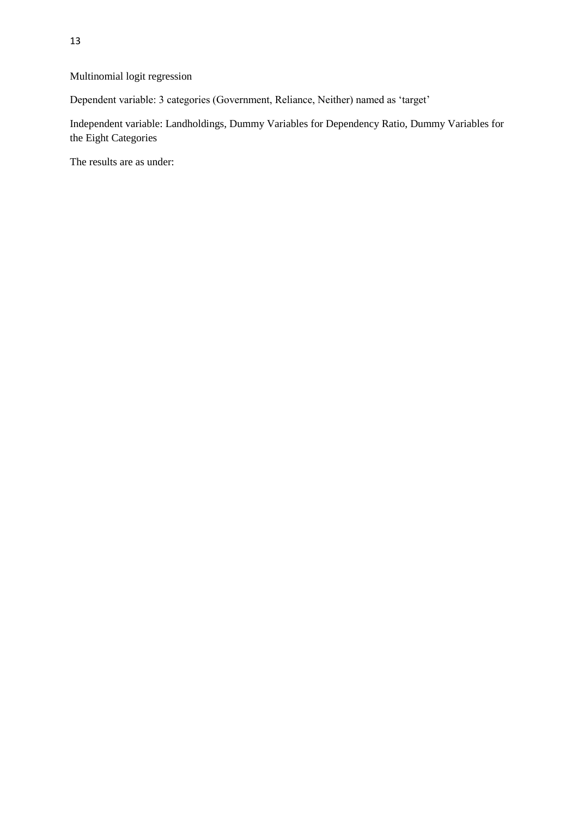Multinomial logit regression

Dependent variable: 3 categories (Government, Reliance, Neither) named as "target"

Independent variable: Landholdings, Dummy Variables for Dependency Ratio, Dummy Variables for the Eight Categories

The results are as under: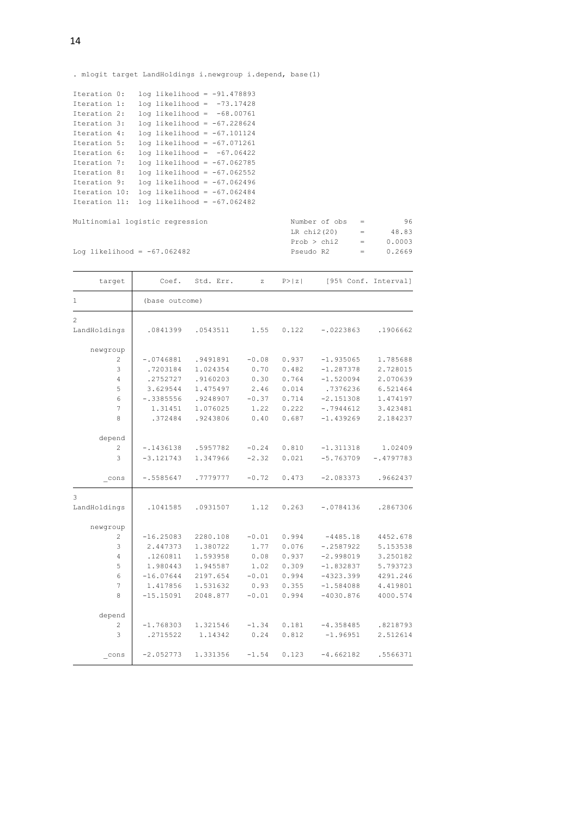. mlogit target LandHoldings i.newgroup i.depend, base(1)

| Iteration 0:  |  | $log$ likelihood = $-91.478893$ |  |
|---------------|--|---------------------------------|--|
| Iteration 1:  |  | $log$ likelihood = $-73.17428$  |  |
| Iteration 2:  |  | $log$ likelihood = $-68.00761$  |  |
| Iteration 3:  |  | $log$ likelihood = $-67.228624$ |  |
| Iteration 4:  |  | $log$ likelihood = -67.101124   |  |
| Iteration 5:  |  | $log$ likelihood = $-67.071261$ |  |
| Iteration 6:  |  | $log$ likelihood = $-67.06422$  |  |
| Iteration 7:  |  | $log$ likelihood = -67.062785   |  |
| Iteration 8:  |  | $log$ likelihood = -67.062552   |  |
| Iteration 9:  |  | $log$ likelihood = $-67.062496$ |  |
| Iteration 10: |  | $log$ likelihood = -67.062484   |  |
| Iteration 11: |  | $log$ likelihood = -67.062482   |  |

```
Multinomial logistic regression
```
Log likelihood = -67.062482 Pseudo R2 = 0.2669 Prob > chi2 = 0.0003 LR  $chi2(20)$  = 48.83

| target         | Coef.          | Std. Err. | $\mathbf{z}$ | P >  z |             | [95% Conf. Interval] |
|----------------|----------------|-----------|--------------|--------|-------------|----------------------|
| 1              | (base outcome) |           |              |        |             |                      |
| $\overline{c}$ |                |           |              |        |             |                      |
| LandHoldings   | .0841399       | .0543511  | 1.55         | 0.122  | $-.0223863$ | .1906662             |
| newgroup       |                |           |              |        |             |                      |
| 2              | $-.0746881$    | .9491891  | $-0.08$      | 0.937  | $-1.935065$ | 1.785688             |
| 3              | .7203184       | 1.024354  | 0.70         | 0.482  | $-1.287378$ | 2.728015             |
| 4              | .2752727       | .9160203  | 0.30         | 0.764  | $-1.520094$ | 2.070639             |
| 5              | 3.629544       | 1.475497  | 2.46         | 0.014  | .7376236    | 6.521464             |
| 6              | $-.3385556$    | .9248907  | $-0.37$      | 0.714  | $-2.151308$ | 1.474197             |
| $\overline{7}$ | 1.31451        | 1.076025  | 1.22         | 0.222  | $-.7944612$ | 3.423481             |
| 8              | .372484        | .9243806  | 0.40         | 0.687  | $-1.439269$ | 2.184237             |
| depend         |                |           |              |        |             |                      |
| 2              | $-.1436138$    | .5957782  | $-0.24$      | 0.810  | $-1.311318$ | 1.02409              |
| 3              | $-3.121743$    | 1.347966  | $-2.32$      | 0.021  | $-5.763709$ | $-.4797783$          |
| cons           | $-15585647$    | .7779777  | $-0.72$      | 0.473  | $-2.083373$ | .9662437             |
| 3              |                |           |              |        |             |                      |
| LandHoldings   | .1041585       | .0931507  | 1.12         | 0.263  | $-.0784136$ | .2867306             |
| newgroup       |                |           |              |        |             |                      |
| 2              | $-16.25083$    | 2280.108  | $-0.01$      | 0.994  | $-4485.18$  | 4452.678             |
| 3              | 2.447373       | 1.380722  | 1.77         | 0.076  | $-.2587922$ | 5.153538             |
| 4              | .1260811       | 1.593958  | 0.08         | 0.937  | $-2.998019$ | 3.250182             |
| 5              | 1.980443       | 1.945587  | 1.02         | 0.309  | $-1.832837$ | 5.793723             |
| 6              | $-16.07644$    | 2197.654  | $-0.01$      | 0.994  | $-4323.399$ | 4291.246             |
| 7              | 1.417856       | 1.531632  | 0.93         | 0.355  | $-1.584088$ | 4.419801             |
| 8              | $-15.15091$    | 2048.877  | $-0.01$      | 0.994  | $-4030.876$ | 4000.574             |
| depend         |                |           |              |        |             |                      |
| 2              | $-1.768303$    | 1.321546  | $-1.34$      | 0.181  | $-4.358485$ | .8218793             |
| 3              | .2715522       | 1.14342   | 0.24         | 0.812  | $-1.96951$  | 2.512614             |
| cons           | $-2.052773$    | 1.331356  | $-1.54$      | 0.123  | $-4.662182$ | .5566371             |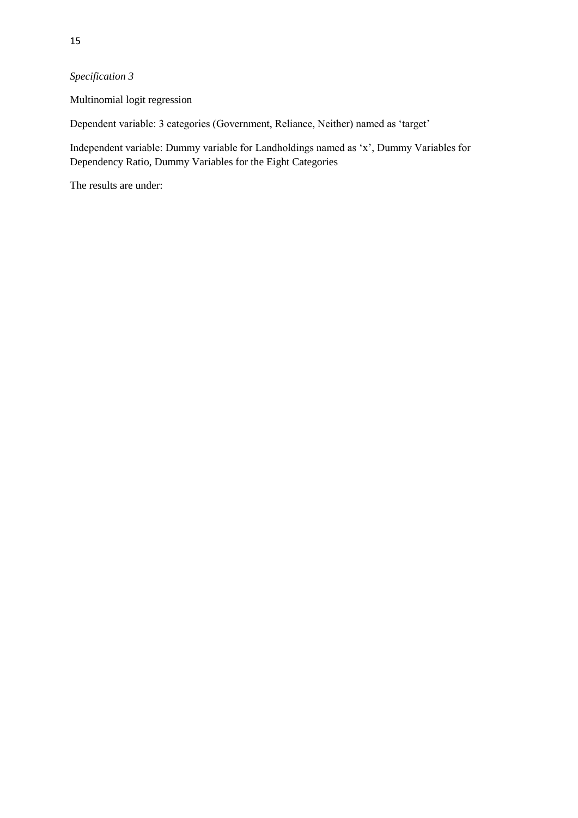# *Specification 3*

Multinomial logit regression

Dependent variable: 3 categories (Government, Reliance, Neither) named as "target"

Independent variable: Dummy variable for Landholdings named as "x", Dummy Variables for Dependency Ratio, Dummy Variables for the Eight Categories

The results are under: